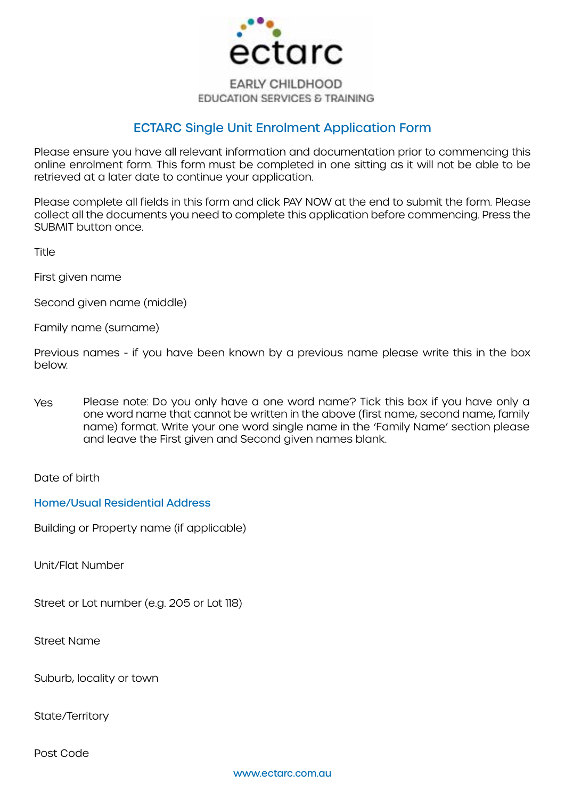

#### **EARLY CHILDHOOD EDUCATION SERVICES & TRAINING**

# ECTARC Single Unit Enrolment Application Form

Please ensure you have all relevant information and documentation prior to commencing this online enrolment form. This form must be completed in one sitting as it will not be able to be retrieved at a later date to continue your application.

Please complete all fields in this form and click PAY NOW at the end to submit the form. Please collect all the documents you need to complete this application before commencing. Press the SUBMIT button once.

**Title** 

First given name

Second given name (middle)

Family name (surname)

Previous names - if you have been known by a previous name please write this in the box below.

Yes Please note: Do you only have a one word name? Tick this box if you have only a one word name that cannot be written in the above (first name, second name, family name) format. Write your one word single name in the 'Family Name' section please and leave the First given and Second given names blank.

Date of birth

Home/Usual Residential Address

Building or Property name (if applicable)

Unit/Flat Number

Street or Lot number (e.g. 205 or Lot 118)

Street Name

Suburb, locality or town

State/Territory

Post Code

www.ectarc.com.au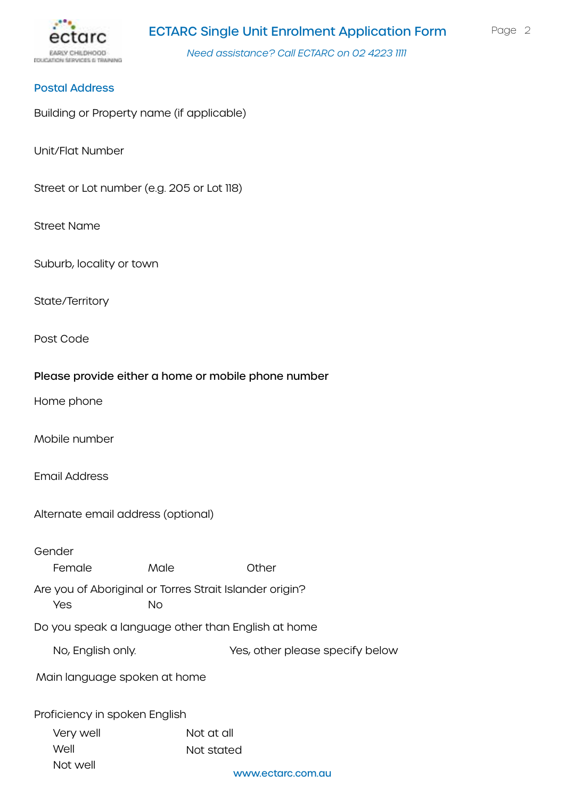

#### Postal Address

Building or Property name (if applicable)

Unit/Flat Number

Street or Lot number (e.g. 205 or Lot 118)

Street Name

Suburb, locality or town

State/Territory

Post Code

#### Please provide either a home or mobile phone number

Home phone

Mobile number

Email Address

Alternate email address (optional)

Gender Are you of Aboriginal or Torres Strait Islander origin? Do you speak a language other than English at home Proficiency in spoken English Female Male Other Yes No Very well Well Not well Not at all Not stated No, English only. Yes, other please specify below Main language spoken at home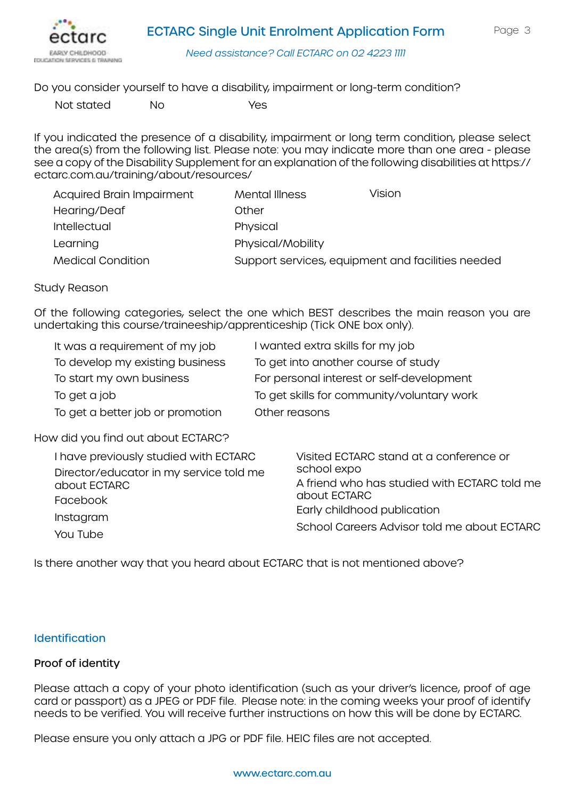

Do you consider yourself to have a disability, impairment or long-term condition?

Not stated No Yes

If you indicated the presence of a disability, impairment or long term condition, please select the area(s) from the following list. Please note: you may indicate more than one area - please see a copy of the Disability Supplement for an explanation of the following disabilities at [https://](https://ectarc.com.au/training/about/resources/) [ectarc.com.au/training/about/resources/](https://ectarc.com.au/training/about/resources/)

| <b>Acquired Brain Impairment</b> | Mental Illness    | Vision                                            |
|----------------------------------|-------------------|---------------------------------------------------|
| Hearing/Deaf                     | Other             |                                                   |
| Intellectual                     | Physical          |                                                   |
| Learning                         | Physical/Mobility |                                                   |
| <b>Medical Condition</b>         |                   | Support services, equipment and facilities needed |

#### Study Reason

Of the following categories, select the one which BEST describes the main reason you are undertaking this course/traineeship/apprenticeship (Tick ONE box only).

| It was a requirement of my job   | I wanted extra skills for my job           |
|----------------------------------|--------------------------------------------|
| To develop my existing business  | To get into another course of study        |
| To start my own business         | For personal interest or self-development  |
| To get a job                     | To get skills for community/voluntary work |
| To get a better job or promotion | Other reasons                              |

### How did you find out about ECTARC?

| I have previously studied with ECTARC<br>Director/educator in my service told me<br>about ECTARC<br>Facebook<br>Instagram | Visited ECTARC stand at a conference or<br>school expo<br>A friend who has studied with ECTARC told me<br>about ECTARC<br>Early childhood publication<br>School Careers Advisor told me about ECTARC |  |
|---------------------------------------------------------------------------------------------------------------------------|------------------------------------------------------------------------------------------------------------------------------------------------------------------------------------------------------|--|
| You Tube                                                                                                                  |                                                                                                                                                                                                      |  |

Is there another way that you heard about ECTARC that is not mentioned above?

#### **Identification**

### Proof of identity

Please attach a copy of your photo identification (such as your driver's licence, proof of age card or passport) as a JPEG or PDF file. Please note: in the coming weeks your proof of identify needs to be verified. You will receive further instructions on how this will be done by ECTARC.

Please ensure you only attach a JPG or PDF file. HEIC files are not accepted.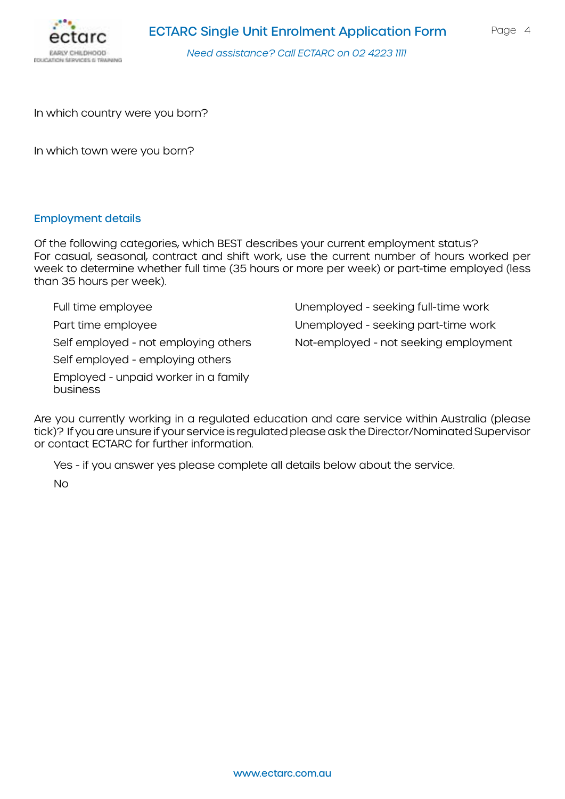

In which country were you born?

In which town were you born?

#### Employment details

Of the following categories, which BEST describes your current employment status? For casual, seasonal, contract and shift work, use the current number of hours worked per week to determine whether full time (35 hours or more per week) or part-time employed (less than 35 hours per week).

Full time employee Part time employee Self employed - not employing others Self employed - employing others Employed - unpaid worker in a family business Unemployed - seeking full-time work Unemployed - seeking part-time work Not-employed - not seeking employment

Are you currently working in a regulated education and care service within Australia (please tick)? If you are unsure if your service is regulated please ask the Director/Nominated Supervisor or contact ECTARC for further information.

Yes - if you answer yes please complete all details below about the service.

No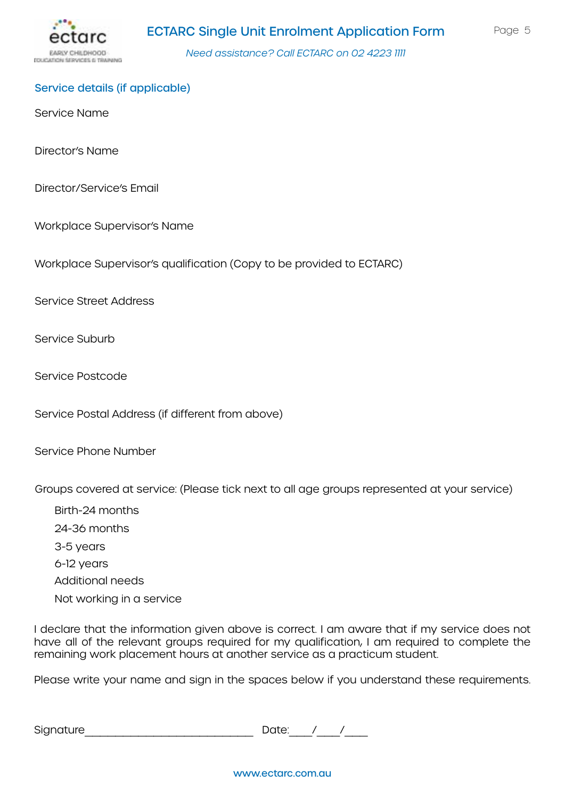

#### Service details (if applicable)

Service Name

Director's Name

Director/Service's Email

Workplace Supervisor's Name

Workplace Supervisor's qualification (Copy to be provided to ECTARC)

Service Street Address

Service Suburb

Service Postcode

Service Postal Address (if different from above)

Service Phone Number

Groups covered at service: (Please tick next to all age groups represented at your service)

Birth-24 months 24-36 months 3-5 years 6-12 years Additional needs Not working in a service

I declare that the information given above is correct. I am aware that if my service does not have all of the relevant groups required for my qualification, I am required to complete the remaining work placement hours at another service as a practicum student.

Please write your name and sign in the spaces below if you understand these requirements.

Signature\_\_\_\_\_\_\_\_\_\_\_\_\_\_\_\_\_\_\_\_\_\_ Date:\_\_\_/\_\_\_/\_\_\_

www.ectarc.com.au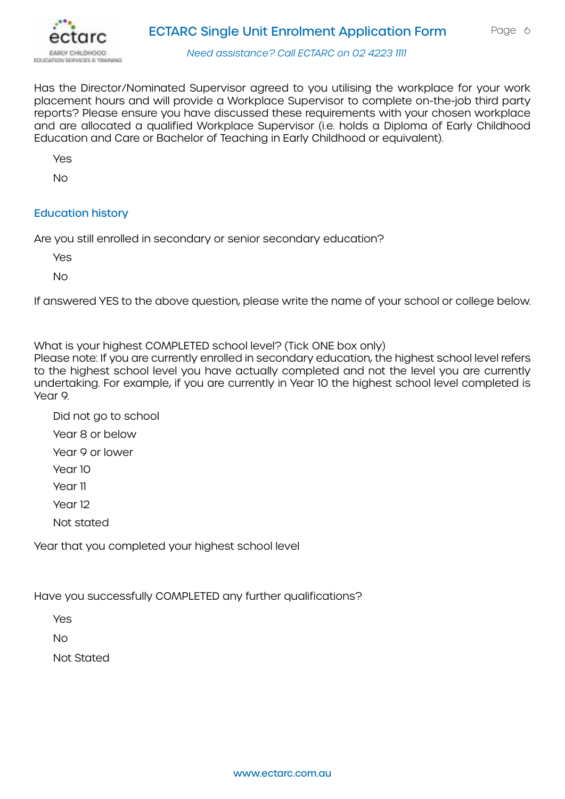

Has the Director/Nominated Supervisor agreed to you utilising the workplace for your work placement hours and will provide a Workplace Supervisor to complete on-the-job third party reports? Please ensure you have discussed these requirements with your chosen workplace and are allocated a qualified Workplace Supervisor (i.e. holds a Diploma of Early Childhood Education and Care or Bachelor of Teaching in Early Childhood or equivalent).

Yes

No

## Education history

Are you still enrolled in secondary or senior secondary education?

Yes

No

If answered YES to the above question, please write the name of your school or college below.

What is your highest COMPLETED school level? (Tick ONE box only)

Please note: If you are currently enrolled in secondary education, the highest school level refers to the highest school level you have actually completed and not the level you are currently undertaking. For example, if you are currently in Year 10 the highest school level completed is Year 9.

- Did not go to school
- Year 8 or below
- Year 9 or lower
- Year 10
- Year 11
- Year 12
- Not stated

Year that you completed your highest school level

Have you successfully COMPLETED any further qualifications?

Yes

No

Not Stated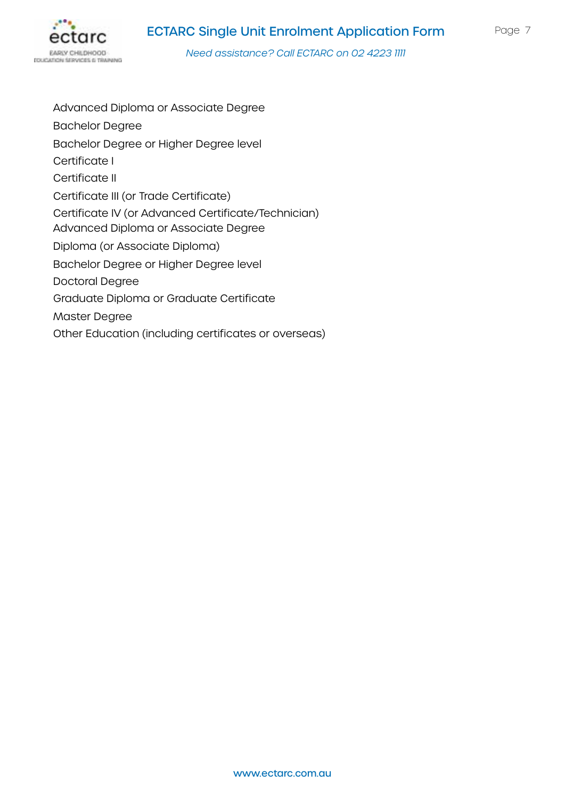

Advanced Diploma or Associate Degree Bachelor Degree Bachelor Degree or Higher Degree level Certificate I Certificate II Certificate III (or Trade Certificate) Certificate IV (or Advanced Certificate/Technician) Advanced Diploma or Associate Degree Diploma (or Associate Diploma) Bachelor Degree or Higher Degree level Doctoral Degree Graduate Diploma or Graduate Certificate Master Degree Other Education (including certificates or overseas)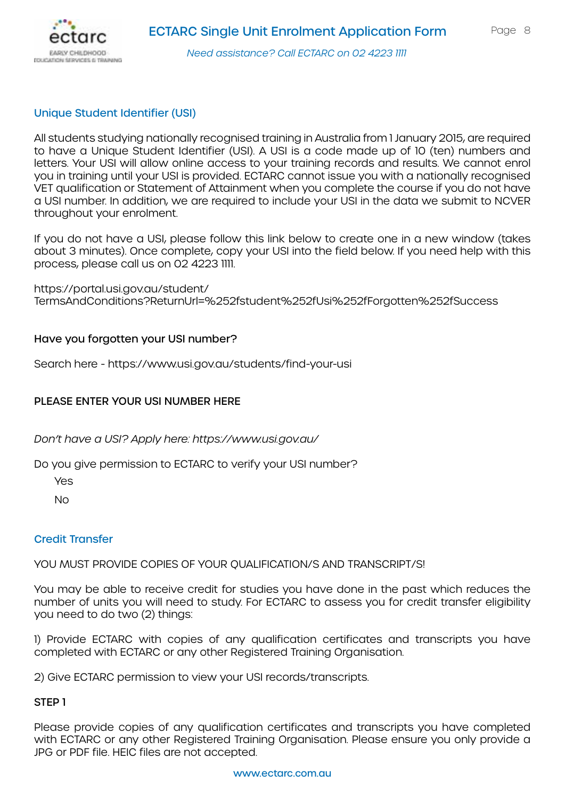

### Unique Student Identifier (USI)

All students studying nationally recognised training in Australia from 1 January 2015, are required to have a Unique Student Identifier (USI). A USI is a code made up of 10 (ten) numbers and letters. Your USI will allow online access to your training records and results. We cannot enrol you in training until your USI is provided. ECTARC cannot issue you with a nationally recognised VET qualification or Statement of Attainment when you complete the course if you do not have a USI number. In addition, we are required to include your USI in the data we submit to NCVER throughout your enrolment.

If you do not have a USI, please follow this link below to create one in a new window (takes about 3 minutes). Once complete, copy your USI into the field below. If you need help with this process, please call us on 02 4223 1111.

[https://portal.usi.gov.au/student/](https://portal.usi.gov.au/student/TermsAndConditions?ReturnUrl=%252fstudent%252fUsi%252fForgotten%25) [TermsAndConditions?ReturnUrl=%252fstudent%252fUsi%252fForgotten%252fSuccess](https://portal.usi.gov.au/student/TermsAndConditions?ReturnUrl=%252fstudent%252fUsi%252fForgotten%25) 

#### Have you forgotten your USI number?

Search here - <https://www.usi.gov.au/students/find-your-usi>

### PLEASE ENTER YOUR USI NUMBER HERE

*Don't have a USI? Apply here:<https://www.usi.gov.au/>*

Do you give permission to ECTARC to verify your USI number?

Yes

No

#### Credit Transfer

YOU MUST PROVIDE COPIES OF YOUR OUALIFICATION/S AND TRANSCRIPT/S!

You may be able to receive credit for studies you have done in the past which reduces the number of units you will need to study. For ECTARC to assess you for credit transfer eligibility you need to do two (2) things:

1) Provide ECTARC with copies of any qualification certificates and transcripts you have completed with ECTARC or any other Registered Training Organisation.

2) Give ECTARC permission to view your USI records/transcripts.

### STEP 1

Please provide copies of any qualification certificates and transcripts you have completed with ECTARC or any other Registered Training Organisation. Please ensure you only provide a JPG or PDF file. HEIC files are not accepted.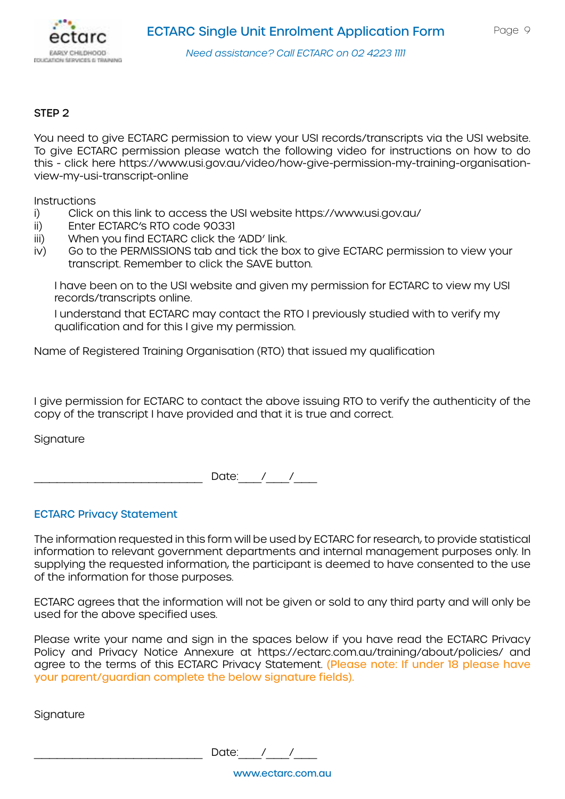

#### STEP 2

You need to give ECTARC permission to view your USI records/transcripts via the USI website. To give ECTARC permission please watch the following video for instructions on how to do this - click here [https://www.usi.gov.au/video/how-give-permission-my-training-organisation](https://www.usi.gov.au/video/how-give-permission-my-training-organisation-view-my-usi-transcript-onl)[view-my-usi-transcript-online](https://www.usi.gov.au/video/how-give-permission-my-training-organisation-view-my-usi-transcript-onl)

**Instructions** 

- i) Click on this link to access the USI website<https://www.usi.gov.au/>
- ii) Enter ECTARC's RTO code 90331
- iii) When you find ECTARC click the 'ADD' link.
- iv) Go to the PERMISSIONS tab and tick the box to give ECTARC permission to view your transcript. Remember to click the SAVE button.

I have been on to the USI website and given my permission for ECTARC to view my USI records/transcripts online.

I understand that ECTARC may contact the RTO I previously studied with to verify my qualification and for this I give my permission.

Name of Registered Training Organisation (RTO) that issued my qualification

I give permission for ECTARC to contact the above issuing RTO to verify the authenticity of the copy of the transcript I have provided and that it is true and correct.

**Signature** 

Date:  $/$  /

#### ECTARC Privacy Statement

The information requested in this form will be used by ECTARC for research, to provide statistical information to relevant government departments and internal management purposes only. In supplying the requested information, the participant is deemed to have consented to the use of the information for those purposes.

ECTARC agrees that the information will not be given or sold to any third party and will only be used for the above specified uses.

Please write your name and sign in the spaces below if you have read the ECTARC Privacy Policy and Privacy Notice Annexure at [https://ectarc.com.au/training/about/policies/](https://ectarc.com.au/training/about/policies/ ) and agree to the terms of this ECTARC Privacy Statement. (Please note: If under 18 please have your parent/guardian complete the below signature fields).

**Signature** 

Date:  $/$  /

www.ectarc.com.au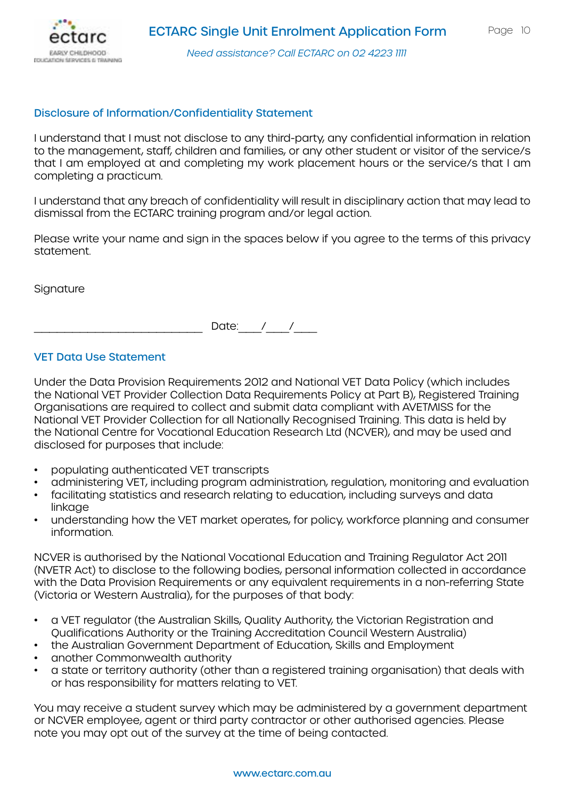

#### Disclosure of Information/Confidentiality Statement

I understand that I must not disclose to any third-party, any confidential information in relation to the management, staff, children and families, or any other student or visitor of the service/s that I am employed at and completing my work placement hours or the service/s that I am completing a practicum.

I understand that any breach of confidentiality will result in disciplinary action that may lead to dismissal from the ECTARC training program and/or legal action.

Please write your name and sign in the spaces below if you agree to the terms of this privacy statement.

**Signature** 

Date:  $/$  /

#### VET Data Use Statement

Under the Data Provision Requirements 2012 and National VET Data Policy (which includes the National VET Provider Collection Data Requirements Policy at Part B), Registered Training Organisations are required to collect and submit data compliant with AVETMISS for the National VET Provider Collection for all Nationally Recognised Training. This data is held by the National Centre for Vocational Education Research Ltd (NCVER), and may be used and disclosed for purposes that include:

- populating authenticated VET transcripts
- administering VET, including program administration, regulation, monitoring and evaluation
- facilitating statistics and research relating to education, including surveys and data linkaae
- understanding how the VET market operates, for policy, workforce planning and consumer information.

NCVER is authorised by the National Vocational Education and Training Regulator Act 2011 (NVETR Act) to disclose to the following bodies, personal information collected in accordance with the Data Provision Requirements or any equivalent requirements in a non-referring State (Victoria or Western Australia), for the purposes of that body:

- a VET regulator (the Australian Skills, Quality Authority, the Victorian Registration and Qualifications Authority or the Training Accreditation Council Western Australia)
- the Australian Government Department of Education, Skills and Employment
- another Commonwealth authority
- a state or territory authority (other than a registered training organisation) that deals with or has responsibility for matters relating to VET.

You may receive a student survey which may be administered by a government department or NCVER employee, agent or third party contractor or other authorised agencies. Please note you may opt out of the survey at the time of being contacted.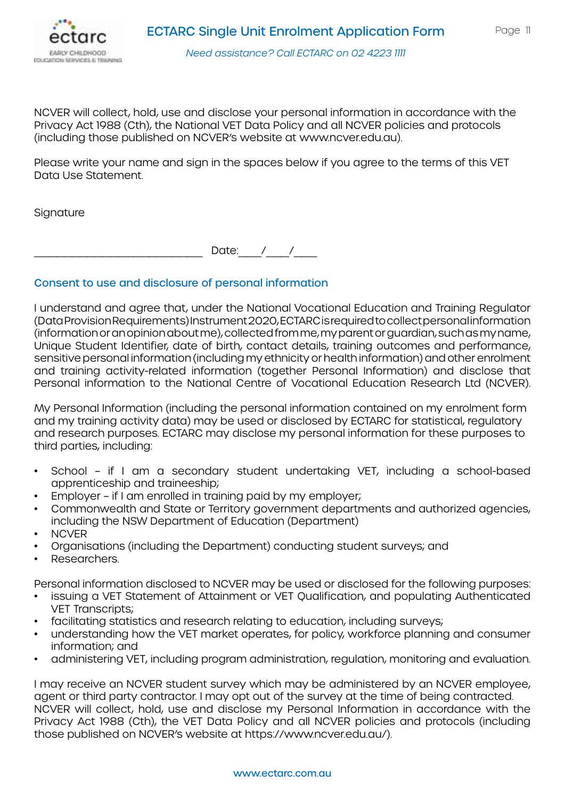

NCVER will collect, hold, use and disclose your personal information in accordance with the Privacy Act 1988 (Cth), the National VET Data Policy and all NCVER policies and protocols (including those published on NCVER's website at [www.ncver.edu.au](http://www.ncver.edu.au)).

Please write your name and sign in the spaces below if you agree to the terms of this VET Data Use Statement.

**Signature** 

Date:  $/$  /

### Consent to use and disclosure of personal information

I understand and agree that, under the National Vocational Education and Training Regulator (Data Provision Requirements) Instrument 2020, ECTARC is required to collect personal information (information or an opinion about me), collected from me, my parent or guardian, such as my name, Unique Student Identifier, date of birth, contact details, training outcomes and performance, sensitive personal information (including my ethnicity or health information) and other enrolment and training activity-related information (together Personal Information) and disclose that Personal information to the National Centre of Vocational Education Research Ltd (NCVER).

My Personal Information (including the personal information contained on my enrolment form and my training activity data) may be used or disclosed by ECTARC for statistical, regulatory and research purposes. ECTARC may disclose my personal information for these purposes to third parties, including:

- School if I am a secondary student undertaking VET, including a school-based apprenticeship and traineeship;
- Employer if I am enrolled in training paid by my employer;
- Commonwealth and State or Territory government departments and authorized agencies, including the NSW Department of Education (Department)
- NCVER
- Organisations (including the Department) conducting student surveys; and
- Researchers.

Personal information disclosed to NCVER may be used or disclosed for the following purposes:

- issuing a VET Statement of Attainment or VET Qualification, and populating Authenticated VET Transcripts;
- facilitating statistics and research relating to education, including surveys;
- understanding how the VET market operates, for policy, workforce planning and consumer information; and
- administering VET, including program administration, regulation, monitoring and evaluation.

I may receive an NCVER student survey which may be administered by an NCVER employee, agent or third party contractor. I may opt out of the survey at the time of being contracted. NCVER will collect, hold, use and disclose my Personal Information in accordance with the Privacy Act 1988 (Cth), the VET Data Policy and all NCVER policies and protocols (including those published on NCVER's website at [https://www.ncver.edu.au/\)](https://www.ncver.edu.au/).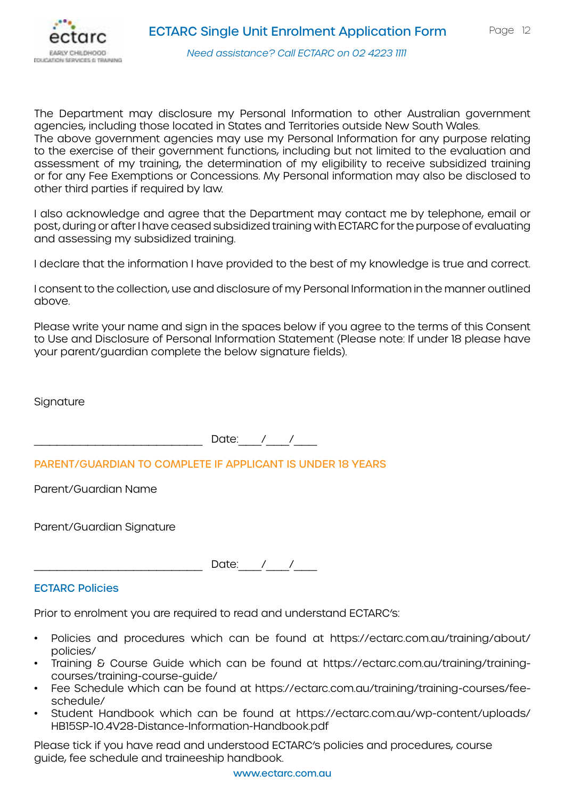

The Department may disclosure my Personal Information to other Australian government agencies, including those located in States and Territories outside New South Wales. The above government agencies may use my Personal Information for any purpose relating to the exercise of their government functions, including but not limited to the evaluation and assessment of my training, the determination of my eligibility to receive subsidized training or for any Fee Exemptions or Concessions. My Personal information may also be disclosed to other third parties if required by law.

I also acknowledge and agree that the Department may contact me by telephone, email or post, during or after I have ceased subsidized training with ECTARC for the purpose of evaluating and assessing my subsidized training.

I declare that the information I have provided to the best of my knowledge is true and correct.

I consent to the collection, use and disclosure of my Personal Information in the manner outlined above.

Please write your name and sign in the spaces below if you agree to the terms of this Consent to Use and Disclosure of Personal Information Statement (Please note: If under 18 please have your parent/guardian complete the below signature fields).

**Signature** 

 $\Box$  Date:  $\Box$  /  $\Box$ 

PARENT/GUARDIAN TO COMPLETE IF APPLICANT IS UNDER 18 YEARS

Parent/Guardian Name

Parent/Guardian Signature

Date: / /

ECTARC Policies

Prior to enrolment you are required to read and understand ECTARC's:

- Policies and procedures which can be found at [https://ectarc.com.au/training/about/](https://ectarc.com.au/training/about/policies/ ) [policies/](https://ectarc.com.au/training/about/policies/ )
- Training & Course Guide which can be found at [https://ectarc.com.au/training/training](https://ectarc.com.au/training/training-courses/training-course-guide/ )[courses/training-course-guide/](https://ectarc.com.au/training/training-courses/training-course-guide/ )
- Fee Schedule which can be found at [https://ectarc.com.au/training/training-courses/fee](https://ectarc.com.au/training/training-courses/fee-schedule/ )[schedule/](https://ectarc.com.au/training/training-courses/fee-schedule/ )
- Student Handbook which can be found at [https://ectarc.com.au/wp-content/uploads/](https://ectarc.com.au/wp-content/uploads/HB15SP-10.4V28-Distance-Information-Handbook.pdf) [HB15SP-10.4V28-Distance-Information-Handbook.pdf](https://ectarc.com.au/wp-content/uploads/HB15SP-10.4V28-Distance-Information-Handbook.pdf)

Please tick if you have read and understood ECTARC's policies and procedures, course guide, fee schedule and traineeship handbook.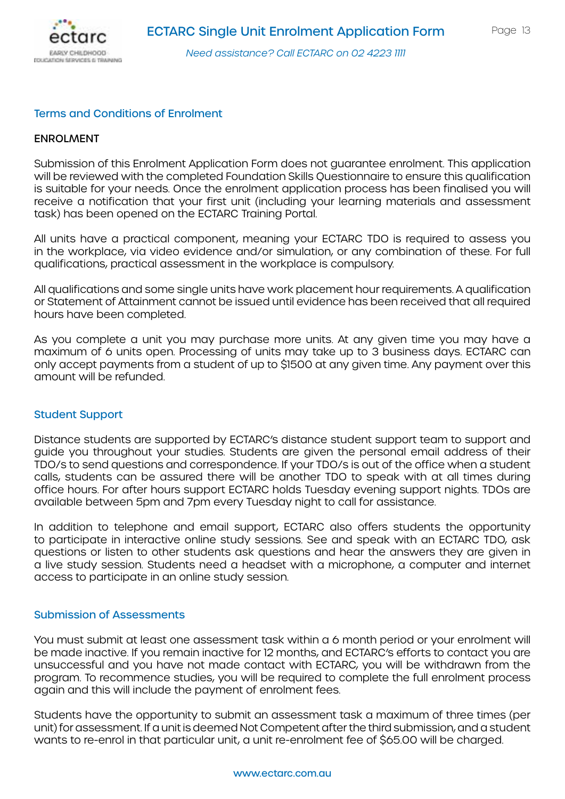

#### Terms and Conditions of Enrolment

#### ENROLMENT

Submission of this Enrolment Application Form does not guarantee enrolment. This application will be reviewed with the completed Foundation Skills Questionnaire to ensure this qualification is suitable for your needs. Once the enrolment application process has been finalised you will receive a notification that your first unit (including your learning materials and assessment task) has been opened on the ECTARC Training Portal.

All units have a practical component, meaning your ECTARC TDO is required to assess you in the workplace, via video evidence and/or simulation, or any combination of these. For full qualifications, practical assessment in the workplace is compulsory.

All qualifications and some single units have work placement hour requirements. A qualification or Statement of Attainment cannot be issued until evidence has been received that all required hours have been completed.

As you complete a unit you may purchase more units. At any given time you may have a maximum of 6 units open. Processing of units may take up to 3 business days. ECTARC can only accept payments from a student of up to \$1500 at any given time. Any payment over this amount will be refunded.

#### Student Support

Distance students are supported by ECTARC's distance student support team to support and guide you throughout your studies. Students are given the personal email address of their TDO/s to send questions and correspondence. If your TDO/s is out of the office when a student calls, students can be assured there will be another TDO to speak with at all times during office hours. For after hours support ECTARC holds Tuesday evening support nights. TDOs are available between 5pm and 7pm every Tuesday night to call for assistance.

In addition to telephone and email support, ECTARC also offers students the opportunity to participate in interactive online study sessions. See and speak with an ECTARC TDO, ask questions or listen to other students ask questions and hear the answers they are given in a live study session. Students need a headset with a microphone, a computer and internet access to participate in an online study session.

#### Submission of Assessments

You must submit at least one assessment task within a 6 month period or your enrolment will be made inactive. If you remain inactive for 12 months, and ECTARC's efforts to contact you are unsuccessful and you have not made contact with ECTARC, you will be withdrawn from the program. To recommence studies, you will be required to complete the full enrolment process again and this will include the payment of enrolment fees.

Students have the opportunity to submit an assessment task a maximum of three times (per unit) for assessment. If a unit is deemed Not Competent after the third submission, and a student wants to re-enrol in that particular unit, a unit re-enrolment fee of \$65.00 will be charged.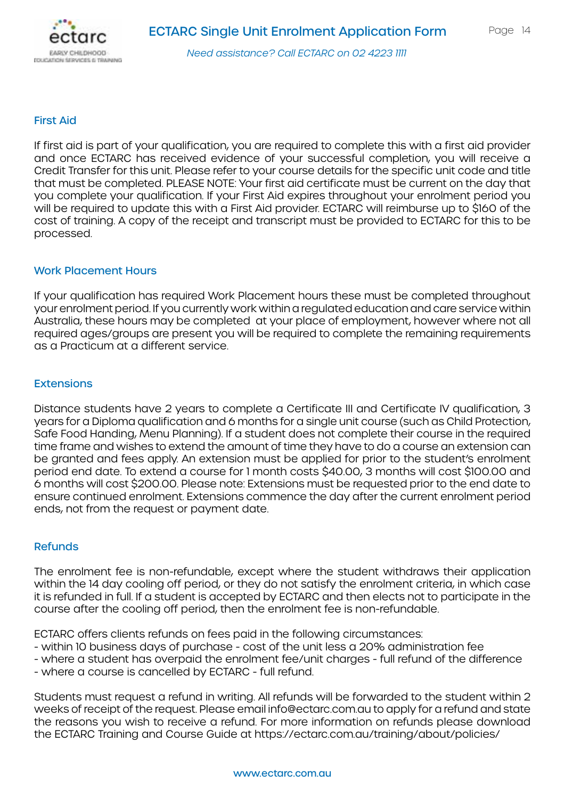

#### First Aid

If first aid is part of your qualification, you are required to complete this with a first aid provider and once ECTARC has received evidence of your successful completion, you will receive a Credit Transfer for this unit. Please refer to your course details for the specific unit code and title that must be completed. PLEASE NOTE: Your first aid certificate must be current on the day that you complete your qualification. If your First Aid expires throughout your enrolment period you will be required to update this with a First Aid provider. ECTARC will reimburse up to \$160 of the cost of training. A copy of the receipt and transcript must be provided to ECTARC for this to be processed.

#### Work Placement Hours

If your qualification has required Work Placement hours these must be completed throughout your enrolment period. If you currently work within a regulated education and care service within Australia, these hours may be completed at your place of employment, however where not all required ages/groups are present you will be required to complete the remaining requirements as a Practicum at a different service.

#### **Extensions**

Distance students have 2 years to complete a Certificate III and Certificate IV qualification, 3 years for a Diploma qualification and 6 months for a single unit course (such as Child Protection, Safe Food Handing, Menu Planning). If a student does not complete their course in the required time frame and wishes to extend the amount of time they have to do a course an extension can be granted and fees apply. An extension must be applied for prior to the student's enrolment period end date. To extend a course for 1 month costs \$40.00, 3 months will cost \$100.00 and 6 months will cost \$200.00. Please note: Extensions must be requested prior to the end date to ensure continued enrolment. Extensions commence the day after the current enrolment period ends, not from the request or payment date.

#### Refunds

The enrolment fee is non-refundable, except where the student withdraws their application within the 14 day cooling off period, or they do not satisfy the enrolment criteria, in which case it is refunded in full. If a student is accepted by ECTARC and then elects not to participate in the course after the cooling off period, then the enrolment fee is non-refundable.

ECTARC offers clients refunds on fees paid in the following circumstances:

- within 10 business days of purchase cost of the unit less a 20% administration fee
- where a student has overpaid the enrolment fee/unit charges full refund of the difference - where a course is cancelled by ECTARC - full refund.

Students must request a refund in writing. All refunds will be forwarded to the student within 2 weeks of receipt of the request. Please email info@ectarc.com.au to apply for a refund and state the reasons you wish to receive a refund. For more information on refunds please download the ECTARC Training and Course Guide at https://ectarc.com.au/training/about/policies/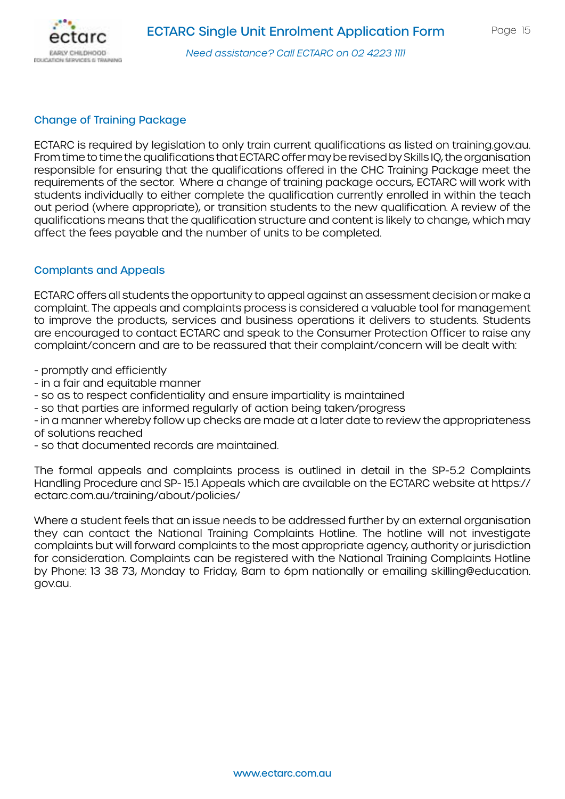

#### Change of Training Package

ECTARC is required by legislation to only train current qualifications as listed on training.gov.au. From time to time the qualifications that ECTARC offer may be revised by Skills IQ, the organisation responsible for ensuring that the qualifications offered in the CHC Training Package meet the requirements of the sector. Where a change of training package occurs, ECTARC will work with students individually to either complete the qualification currently enrolled in within the teach out period (where appropriate), or transition students to the new qualification. A review of the qualifications means that the qualification structure and content is likely to change, which may affect the fees payable and the number of units to be completed.

#### Complants and Appeals

ECTARC offers all students the opportunity to appeal against an assessment decision or make a complaint. The appeals and complaints process is considered a valuable tool for management to improve the products, services and business operations it delivers to students. Students are encouraged to contact ECTARC and speak to the Consumer Protection Officer to raise any complaint/concern and are to be reassured that their complaint/concern will be dealt with:

- promptly and efficiently

- in a fair and equitable manner
- so as to respect confidentiality and ensure impartiality is maintained
- so that parties are informed regularly of action being taken/progress

- in a manner whereby follow up checks are made at a later date to review the appropriateness of solutions reached

- so that documented records are maintained.

The formal appeals and complaints process is outlined in detail in the SP-5.2 Complaints Handling Procedure and SP- 15.1 Appeals which are available on the ECTARC website at https:// ectarc.com.au/training/about/policies/

Where a student feels that an issue needs to be addressed further by an external organisation they can contact the National Training Complaints Hotline. The hotline will not investigate complaints but will forward complaints to the most appropriate agency, authority or jurisdiction for consideration. Complaints can be registered with the National Training Complaints Hotline by Phone: 13 38 73, Monday to Friday, 8am to 6pm nationally or emailing skilling@education. gov.au.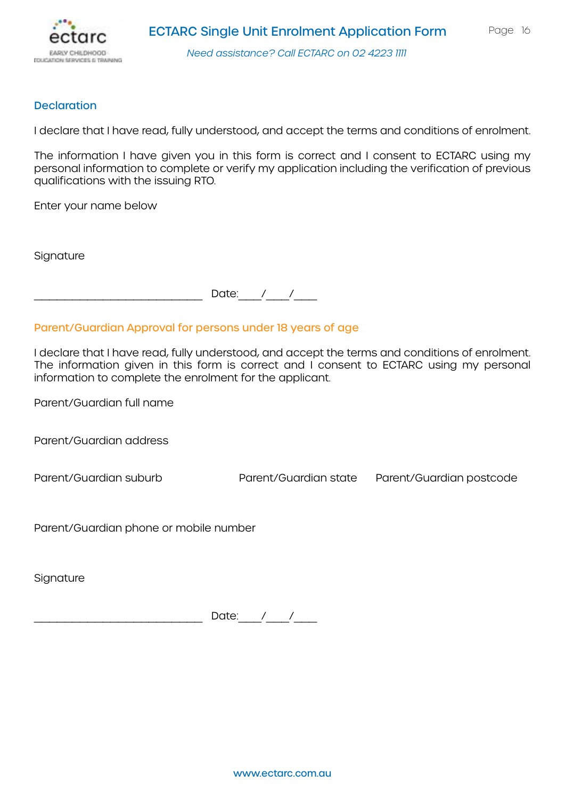

#### **Declaration**

I declare that I have read, fully understood, and accept the terms and conditions of enrolment.

The information I have given you in this form is correct and I consent to ECTARC using my personal information to complete or verify my application including the verification of previous qualifications with the issuing RTO.

Enter your name below

**Signature** 

Date:  $/$  /

#### Parent/Guardian Approval for persons under 18 years of age

I declare that I have read, fully understood, and accept the terms and conditions of enrolment. The information given in this form is correct and I consent to ECTARC using my personal information to complete the enrolment for the applicant.

Parent/Guardian full name

Parent/Guardian address

Parent/Guardian suburb Parent/Guardian state Parent/Guardian postcode

Parent/Guardian phone or mobile number

**Signature** 

Date:  $\angle$  /  $\angle$